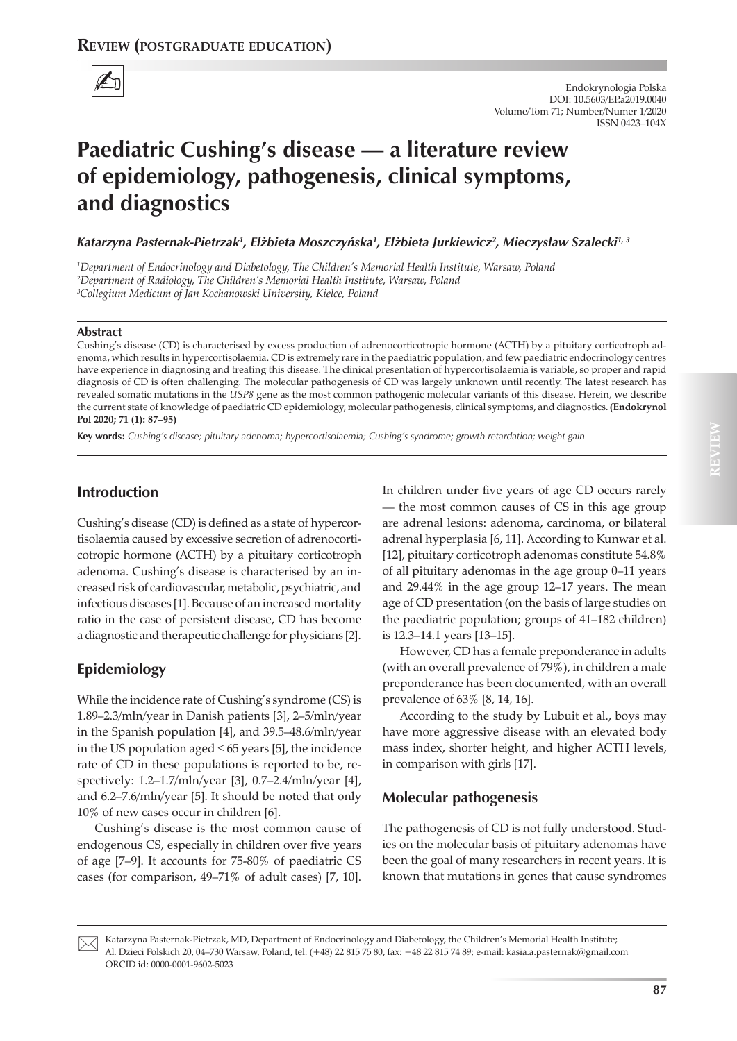

# **Paediatric Cushing's disease — a literature review of epidemiology, pathogenesis, clinical symptoms, and diagnostics**

Katarzyna Pasternak-Pietrzak<sup>1</sup>, Elżbieta Moszczyńska<sup>1</sup>, Elżbieta Jurkiewicz<sup>2</sup>, Mieczysław Szalecki<sup>1, 3</sup>

*1 Department of Endocrinology and Diabetology, The Children's Memorial Health Institute, Warsaw, Poland 2 Department of Radiology, The Children's Memorial Health Institute, Warsaw, Poland 3 Collegium Medicum of Jan Kochanowski University, Kielce, Poland*

#### **Abstract**

Cushing's disease (CD) is characterised by excess production of adrenocorticotropic hormone (ACTH) by a pituitary corticotroph adenoma, which results in hypercortisolaemia. CD is extremely rare in the paediatric population, and few paediatric endocrinology centres have experience in diagnosing and treating this disease. The clinical presentation of hypercortisolaemia is variable, so proper and rapid diagnosis of CD is often challenging. The molecular pathogenesis of CD was largely unknown until recently. The latest research has revealed somatic mutations in the *USP8* gene as the most common pathogenic molecular variants of this disease. Herein, we describe the current state of knowledge of paediatric CD epidemiology, molecular pathogenesis, clinical symptoms, and diagnostics. **(Endokrynol Pol 2020; 71 (1): 87–95)**

**Key words:** *Cushing's disease; pituitary adenoma; hypercortisolaemia; Cushing's syndrome; growth retardation; weight gain*

### **Introduction**

Cushing's disease (CD) is defined as a state of hypercortisolaemia caused by excessive secretion of adrenocorticotropic hormone (ACTH) by a pituitary corticotroph adenoma. Cushing's disease is characterised by an increased risk of cardiovascular, metabolic, psychiatric, and infectious diseases [1]. Because of an increased mortality ratio in the case of persistent disease, CD has become a diagnostic and therapeutic challenge for physicians [2].

### **Epidemiology**

While the incidence rate of Cushing's syndrome (CS) is 1.89–2.3/mln/year in Danish patients [3], 2–5/mln/year in the Spanish population [4], and 39.5–48.6/mln/year in the US population aged ≤ 65 years [5], the incidence rate of CD in these populations is reported to be, respectively: 1.2–1.7/mln/year [3], 0.7–2.4/mln/year [4], and 6.2–7.6/mln/year [5]. It should be noted that only 10% of new cases occur in children [6].

Cushing's disease is the most common cause of endogenous CS, especially in children over five years of age [7–9]. It accounts for 75-80% of paediatric CS cases (for comparison, 49–71% of adult cases) [7, 10].

In children under five years of age CD occurs rarely — the most common causes of CS in this age group are adrenal lesions: adenoma, carcinoma, or bilateral adrenal hyperplasia [6, 11]. According to Kunwar et al. [12], pituitary corticotroph adenomas constitute 54.8% of all pituitary adenomas in the age group 0–11 years and 29.44% in the age group 12–17 years. The mean age of CD presentation (on the basis of large studies on the paediatric population; groups of 41–182 children) is 12.3–14.1 years [13–15].

However, CD has a female preponderance in adults (with an overall prevalence of 79%), in children a male preponderance has been documented, with an overall prevalence of 63% [8, 14, 16].

According to the study by Lubuit et al., boys may have more aggressive disease with an elevated body mass index, shorter height, and higher ACTH levels, in comparison with girls [17].

#### **Molecular pathogenesis**

The pathogenesis of CD is not fully understood. Studies on the molecular basis of pituitary adenomas have been the goal of many researchers in recent years. It is known that mutations in genes that cause syndromes **REVIEW**



Katarzyna Pasternak-Pietrzak, MD, Department of Endocrinology and Diabetology, the Children's Memorial Health Institute; Al. Dzieci Polskich 20, 04–730 Warsaw, Poland, tel: (+48) 22 815 75 80, fax: +48 22 815 74 89; e-mail: kasia.a.pasternak@gmail.com ORCID id: 0000-0001-9602-5023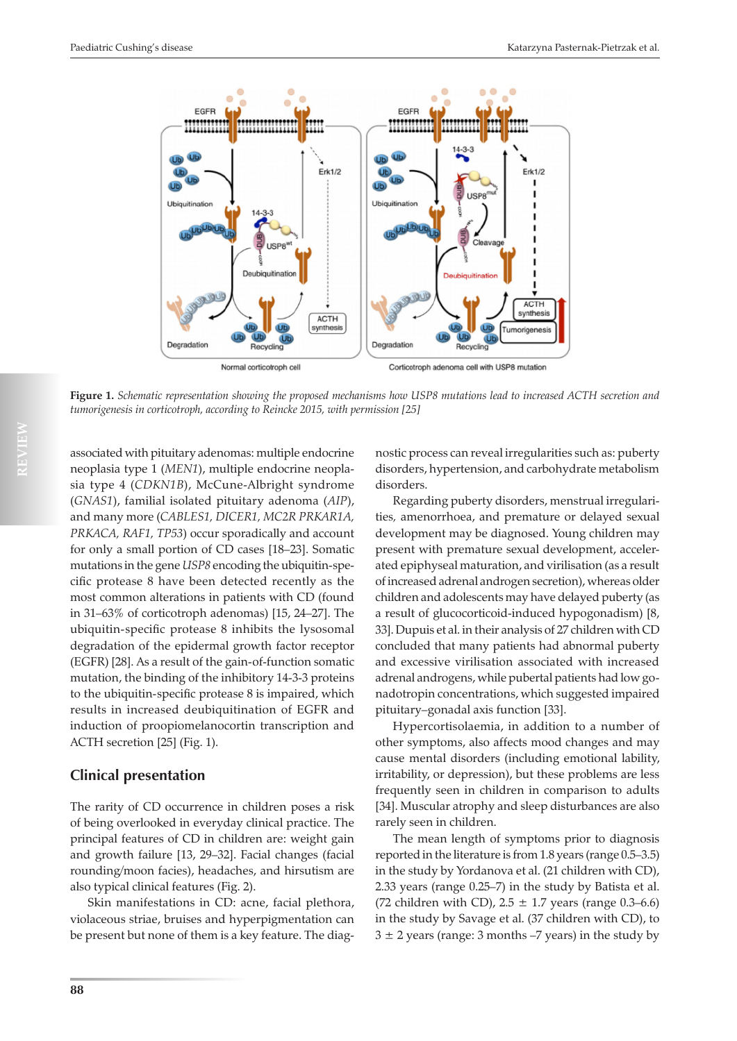

**Figure 1.** *Schematic representation showing the proposed mechanisms how USP8 mutations lead to increased ACTH secretion and tumorigenesis in corticotroph, according to Reincke 2015, with permission [25]*

associated with pituitary adenomas: multiple endocrine neoplasia type 1 (*MEN1*), multiple endocrine neoplasia type 4 (*CDKN1B*), McCune-Albright syndrome (*GNAS1*), familial isolated pituitary adenoma (*AIP*), and many more (*CABLES1, DICER1, MC2R PRKAR1A, PRKACA, RAF1, TP53*) occur sporadically and account for only a small portion of CD cases [18–23]. Somatic mutations in the gene *USP8* encoding the ubiquitin-specific protease 8 have been detected recently as the most common alterations in patients with CD (found in 31–63% of corticotroph adenomas) [15, 24–27]. The ubiquitin-specific protease 8 inhibits the lysosomal degradation of the epidermal growth factor receptor (EGFR) [28]. As a result of the gain-of-function somatic mutation, the binding of the inhibitory 14-3-3 proteins to the ubiquitin-specific protease 8 is impaired, which results in increased deubiquitination of EGFR and induction of proopiomelanocortin transcription and ACTH secretion [25] (Fig. 1).

## **Clinical presentation**

The rarity of CD occurrence in children poses a risk of being overlooked in everyday clinical practice. The principal features of CD in children are: weight gain and growth failure [13, 29–32]. Facial changes (facial rounding/moon facies), headaches, and hirsutism are also typical clinical features (Fig. 2).

Skin manifestations in CD: acne, facial plethora, violaceous striae, bruises and hyperpigmentation can be present but none of them is a key feature. The diagnostic process can reveal irregularities such as: puberty disorders, hypertension, and carbohydrate metabolism disorders.

Regarding puberty disorders, menstrual irregularities*,* amenorrhoea, and premature or delayed sexual development may be diagnosed. Young children may present with premature sexual development, accelerated epiphyseal maturation, and virilisation (as a result of increased adrenal androgen secretion), whereas older children and adolescents may have delayed puberty (as a result of glucocorticoid-induced hypogonadism) [8, 33]. Dupuis et al. in their analysis of 27 children with CD concluded that many patients had abnormal puberty and excessive virilisation associated with increased adrenal androgens, while pubertal patients had low gonadotropin concentrations, which suggested impaired pituitary–gonadal axis function [33].

Hypercortisolaemia, in addition to a number of other symptoms, also affects mood changes and may cause mental disorders (including emotional lability, irritability, or depression), but these problems are less frequently seen in children in comparison to adults [34]. Muscular atrophy and sleep disturbances are also rarely seen in children.

The mean length of symptoms prior to diagnosis reported in the literature is from 1.8 years (range 0.5–3.5) in the study by Yordanova et al. (21 children with CD), 2.33 years (range 0.25–7) in the study by Batista et al. (72 children with CD),  $2.5 \pm 1.7$  years (range 0.3–6.6) in the study by Savage et al. (37 children with CD), to  $3 \pm 2$  years (range: 3 months -7 years) in the study by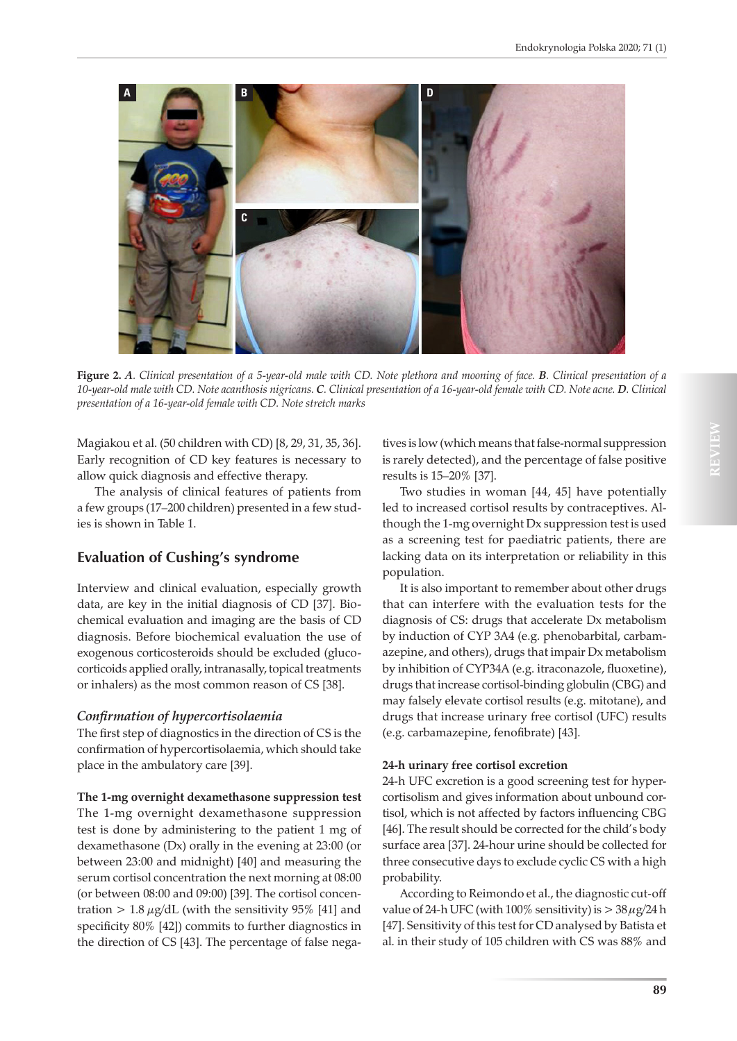

**Figure 2.** *A. Clinical presentation of a 5-year-old male with CD. Note plethora and mooning of face. B. Clinical presentation of a 10-year-old male with CD. Note acanthosis nigricans. C. Clinical presentation of a 16-year-old female with CD. Note acne. D. Clinical presentation of a 16-year-old female with CD. Note stretch marks*

Magiakou et al. (50 children with CD) [8, 29, 31, 35, 36]. Early recognition of CD key features is necessary to allow quick diagnosis and effective therapy.

The analysis of clinical features of patients from a few groups (17–200 children) presented in a few studies is shown in Table 1.

## **Evaluation of Cushing's syndrome**

Interview and clinical evaluation, especially growth data, are key in the initial diagnosis of CD [37]. Biochemical evaluation and imaging are the basis of CD diagnosis. Before biochemical evaluation the use of exogenous corticosteroids should be excluded (glucocorticoids applied orally, intranasally, topical treatments or inhalers) as the most common reason of CS [38].

### *Confirmation of hypercortisolaemia*

The first step of diagnostics in the direction of CS is the confirmation of hypercortisolaemia, which should take place in the ambulatory care [39].

**The 1-mg overnight dexamethasone suppression test** The 1-mg overnight dexamethasone suppression test is done by administering to the patient 1 mg of dexamethasone (Dx) orally in the evening at 23:00 (or between 23:00 and midnight) [40] and measuring the serum cortisol concentration the next morning at 08:00 (or between 08:00 and 09:00) [39]. The cortisol concentration > 1.8  $\mu$ g/dL (with the sensitivity 95% [41] and specificity 80% [42]) commits to further diagnostics in the direction of CS [43]. The percentage of false nega-

tives is low (which means that false-normal suppression is rarely detected), and the percentage of false positive results is 15–20% [37].

Two studies in woman [44, 45] have potentially led to increased cortisol results by contraceptives. Although the 1-mg overnight Dx suppression test is used as a screening test for paediatric patients, there are lacking data on its interpretation or reliability in this population.

It is also important to remember about other drugs that can interfere with the evaluation tests for the diagnosis of CS: drugs that accelerate Dx metabolism by induction of CYP 3A4 (e.g. phenobarbital, carbamazepine, and others), drugs that impair Dx metabolism by inhibition of CYP34A (e.g. itraconazole, fluoxetine), drugs that increase cortisol-binding globulin (CBG) and may falsely elevate cortisol results (e.g. mitotane), and drugs that increase urinary free cortisol (UFC) results (e.g. carbamazepine, fenofibrate) [43].

### **24-h urinary free cortisol excretion**

24-h UFC excretion is a good screening test for hypercortisolism and gives information about unbound cortisol, which is not affected by factors influencing CBG [46]. The result should be corrected for the child's body surface area [37]. 24-hour urine should be collected for three consecutive days to exclude cyclic CS with a high probability.

According to Reimondo et al., the diagnostic cut-off value of 24-h UFC (with 100% sensitivity) is  $>$  38  $\mu$ g/24 h [47]. Sensitivity of this test for CD analysed by Batista et al. in their study of 105 children with CS was 88% and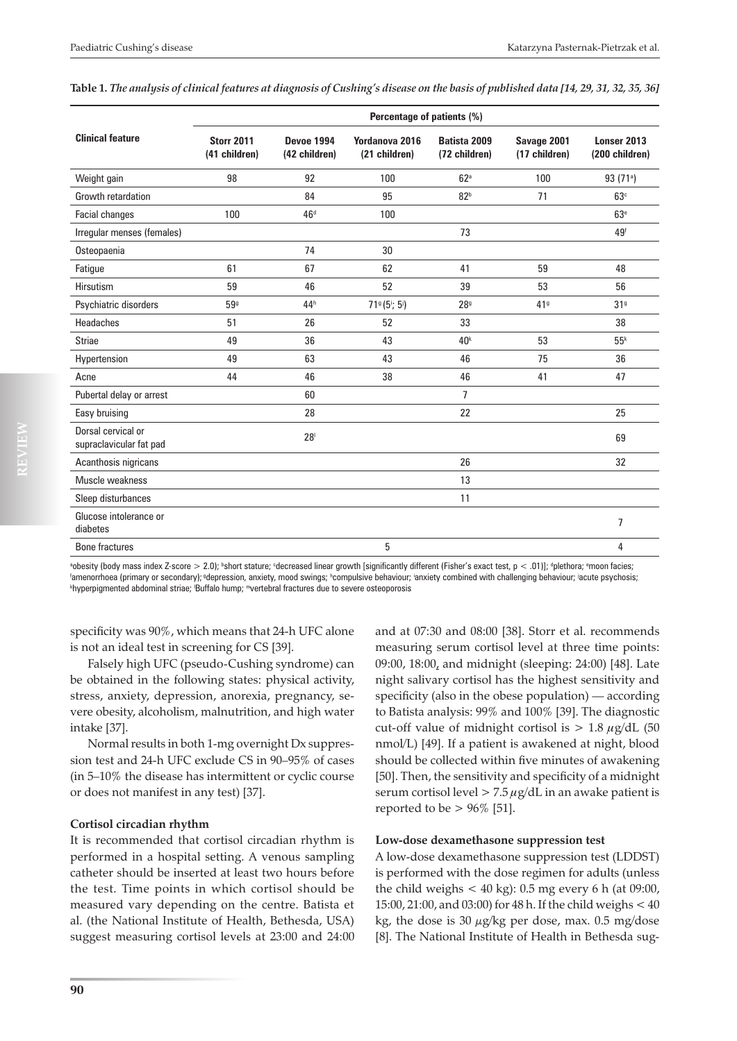|                                               | Percentage of patients (%)         |                                    |                                 |                               |                              |                               |
|-----------------------------------------------|------------------------------------|------------------------------------|---------------------------------|-------------------------------|------------------------------|-------------------------------|
| <b>Clinical feature</b>                       | <b>Storr 2011</b><br>(41 children) | <b>Devoe 1994</b><br>(42 children) | Yordanova 2016<br>(21 children) | Batista 2009<br>(72 children) | Savage 2001<br>(17 children) | Lonser 2013<br>(200 children) |
| Weight gain                                   | 98                                 | 92                                 | 100                             | 62 <sup>a</sup>               | 100                          | 93(71)                        |
| Growth retardation                            |                                    | 84                                 | 95                              | 82 <sup>b</sup>               | 71                           | 63 <sup>c</sup>               |
| Facial changes                                | 100                                | 46 <sup>d</sup>                    | 100                             |                               |                              | 63 <sup>e</sup>               |
| Irregular menses (females)                    |                                    |                                    |                                 | 73                            |                              | 49 <sup>f</sup>               |
| Osteopaenia                                   |                                    | 74                                 | 30                              |                               |                              |                               |
| Fatigue                                       | 61                                 | 67                                 | 62                              | 41                            | 59                           | 48                            |
| Hirsutism                                     | 59                                 | 46                                 | 52                              | 39                            | 53                           | 56                            |
| Psychiatric disorders                         | 599                                | 44h                                | $719(5i; 5j)$                   | 28 <sup>9</sup>               | 419                          | 31 <sup>9</sup>               |
| <b>Headaches</b>                              | 51                                 | 26                                 | 52                              | 33                            |                              | 38                            |
| <b>Striae</b>                                 | 49                                 | 36                                 | 43                              | 40 <sup>k</sup>               | 53                           | 55 <sup>k</sup>               |
| Hypertension                                  | 49                                 | 63                                 | 43                              | 46                            | 75                           | 36                            |
| Acne                                          | 44                                 | 46                                 | 38                              | 46                            | 41                           | 47                            |
| Pubertal delay or arrest                      |                                    | 60                                 |                                 | $\overline{1}$                |                              |                               |
| Easy bruising                                 |                                    | 28                                 |                                 | 22                            |                              | 25                            |
| Dorsal cervical or<br>supraclavicular fat pad |                                    | 28 <sup>1</sup>                    |                                 |                               |                              | 69                            |
| Acanthosis nigricans                          |                                    |                                    |                                 | 26                            |                              | 32                            |
| Muscle weakness                               |                                    |                                    |                                 | 13                            |                              |                               |
| Sleep disturbances                            |                                    |                                    |                                 | 11                            |                              |                               |
| Glucose intolerance or<br>diabetes            |                                    |                                    |                                 |                               |                              | 7                             |
| <b>Bone fractures</b>                         |                                    |                                    | 5                               |                               |                              | 4                             |

**Table 1.** *The analysis of clinical features at diagnosis of Cushing's disease on the basis of published data [14, 29, 31, 32, 35, 36]*

"obesity (body mass index Z-score > 2.0); "short stature; "decreased linear growth [significantly different (Fisher's exact test, p < .01)]; "plethora; "moon facies;"<br>"amenorthoes (primary or secondary): "depression, anyie <sup>f</sup>amenorrhoea (primary or secondary); <sup>g</sup>depression, anxiety, mood swings; <sup>h</sup>compulsive behaviour; <sup>i</sup>anxiety combined with challenging behaviour; <sup>i</sup>acute psychosis;<br><sup>khynernigmented abdominal striee: 'Buffalo humn: "Ne</sup> hyperpigmented abdominal striae; <sup>i</sup>Buffalo hump; "vertebral fractures due to severe osteoporosis

specificity was 90%, which means that 24-h UFC alone is not an ideal test in screening for CS [39].

Falsely high UFC (pseudo-Cushing syndrome) can be obtained in the following states: physical activity, stress, anxiety, depression, anorexia, pregnancy, severe obesity, alcoholism, malnutrition, and high water intake [37].

Normal results in both 1-mg overnight Dx suppression test and 24-h UFC exclude CS in 90–95% of cases (in 5–10% the disease has intermittent or cyclic course or does not manifest in any test) [37].

### **Cortisol circadian rhythm**

It is recommended that cortisol circadian rhythm is performed in a hospital setting. A venous sampling catheter should be inserted at least two hours before the test. Time points in which cortisol should be measured vary depending on the centre. Batista et al. (the National Institute of Health, Bethesda, USA) suggest measuring cortisol levels at 23:00 and 24:00 and at 07:30 and 08:00 [38]. Storr et al. recommends measuring serum cortisol level at three time points: 09:00, 18:00, and midnight (sleeping: 24:00) [48]. Late night salivary cortisol has the highest sensitivity and specificity (also in the obese population) — according to Batista analysis: 99% and 100% [39]. The diagnostic cut-off value of midnight cortisol is  $> 1.8 \mu g/dL$  (50 nmol/L) [49]. If a patient is awakened at night, blood should be collected within five minutes of awakening [50]. Then, the sensitivity and specificity of a midnight serum cortisol level  $> 7.5 \mu$ g/dL in an awake patient is reported to be  $> 96\%$  [51].

### **Low-dose dexamethasone suppression test**

A low-dose dexamethasone suppression test (LDDST) is performed with the dose regimen for adults (unless the child weighs  $<$  40 kg): 0.5 mg every 6 h (at 09:00, 15:00, 21:00, and 03:00) for 48 h. If the child weighs < 40 kg, the dose is 30  $\mu$ g/kg per dose, max. 0.5 mg/dose [8]. The National Institute of Health in Bethesda sug-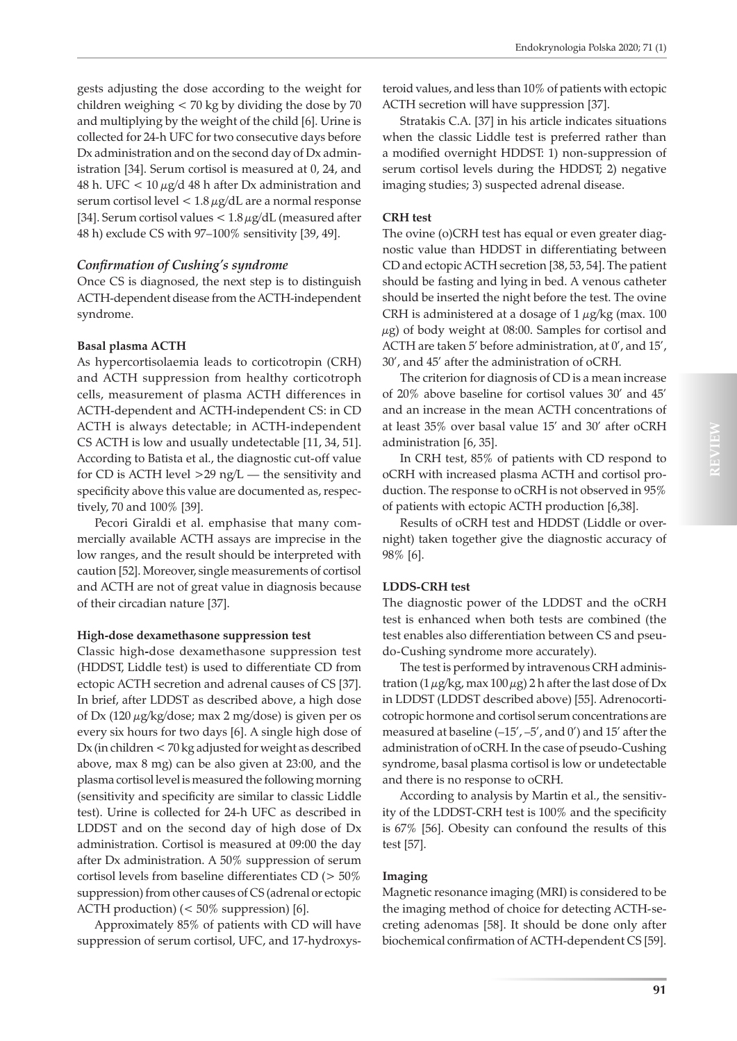gests adjusting the dose according to the weight for children weighing < 70 kg by dividing the dose by 70 and multiplying by the weight of the child [6]. Urine is collected for 24-h UFC for two consecutive days before Dx administration and on the second day of Dx administration [34]. Serum cortisol is measured at 0, 24, and 48 h. UFC  $< 10 \mu g/d$  48 h after Dx administration and serum cortisol level <  $1.8 \mu$ g/dL are a normal response [34]. Serum cortisol values  $< 1.8 \mu g/dL$  (measured after 48 h) exclude CS with 97–100% sensitivity [39, 49].

#### *Confirmation of Cushing's syndrome*

Once CS is diagnosed, the next step is to distinguish ACTH-dependent disease from the ACTH-independent syndrome.

#### **Basal plasma ACTH**

As hypercortisolaemia leads to corticotropin (CRH) and ACTH suppression from healthy corticotroph cells, measurement of plasma ACTH differences in ACTH-dependent and ACTH-independent CS: in CD ACTH is always detectable; in ACTH-independent CS ACTH is low and usually undetectable [11, 34, 51]. According to Batista et al., the diagnostic cut-off value for CD is ACTH level  $>$ 29 ng/L — the sensitivity and specificity above this value are documented as, respectively, 70 and 100% [39].

Pecori Giraldi et al. emphasise that many commercially available ACTH assays are imprecise in the low ranges, and the result should be interpreted with caution [52]. Moreover, single measurements of cortisol and ACTH are not of great value in diagnosis because of their circadian nature [37].

#### **High-dose dexamethasone suppression test**

Classic high**-**dose dexamethasone suppression test (HDDST, Liddle test) is used to differentiate CD from ectopic ACTH secretion and adrenal causes of CS [37]. In brief, after LDDST as described above, a high dose of Dx (120  $\mu$ g/kg/dose; max 2 mg/dose) is given per os every six hours for two days [6]. A single high dose of Dx (in children < 70 kg adjusted for weight as described above, max 8 mg) can be also given at 23:00, and the plasma cortisol level is measured the following morning (sensitivity and specificity are similar to classic Liddle test). Urine is collected for 24-h UFC as described in LDDST and on the second day of high dose of Dx administration. Cortisol is measured at 09:00 the day after Dx administration. A 50% suppression of serum cortisol levels from baseline differentiates CD (> 50% suppression) from other causes of CS (adrenal or ectopic ACTH production) (< 50% suppression) [6].

Approximately 85% of patients with CD will have suppression of serum cortisol, UFC, and 17-hydroxys-

teroid values, and less than 10% of patients with ectopic ACTH secretion will have suppression [37].

Stratakis C.A. [37] in his article indicates situations when the classic Liddle test is preferred rather than a modified overnight HDDST: 1) non-suppression of serum cortisol levels during the HDDST; 2) negative imaging studies; 3) suspected adrenal disease.

### **CRH test**

The ovine (o)CRH test has equal or even greater diagnostic value than HDDST in differentiating between CD and ectopic ACTH secretion [38, 53, 54]. The patient should be fasting and lying in bed. A venous catheter should be inserted the night before the test. The ovine CRH is administered at a dosage of  $1 \mu$ g/kg (max. 100 μg) of body weight at 08:00. Samples for cortisol and ACTH are taken 5' before administration, at 0', and 15', 30', and 45' after the administration of oCRH.

The criterion for diagnosis of CD is a mean increase of 20% above baseline for cortisol values 30' and 45' and an increase in the mean ACTH concentrations of at least 35% over basal value 15' and 30' after oCRH administration [6, 35].

In CRH test, 85% of patients with CD respond to oCRH with increased plasma ACTH and cortisol production. The response to oCRH is not observed in 95% of patients with ectopic ACTH production [6,38].

Results of oCRH test and HDDST (Liddle or overnight) taken together give the diagnostic accuracy of 98% [6].

### **LDDS-CRH test**

The diagnostic power of the LDDST and the oCRH test is enhanced when both tests are combined (the test enables also differentiation between CS and pseudo-Cushing syndrome more accurately).

The test is performed by intravenous CRH administration  $(1 \mu g/kg$ , max  $100 \mu g$ ) 2 h after the last dose of Dx in LDDST (LDDST described above) [55]. Adrenocorticotropic hormone and cortisol serum concentrations are measured at baseline  $(-15', -5',$  and 0') and 15' after the administration of oCRH. In the case of pseudo-Cushing syndrome, basal plasma cortisol is low or undetectable and there is no response to oCRH.

According to analysis by Martin et al., the sensitivity of the LDDST-CRH test is 100% and the specificity is 67% [56]. Obesity can confound the results of this test [57].

### **Imaging**

Magnetic resonance imaging (MRI) is considered to be the imaging method of choice for detecting ACTH-secreting adenomas [58]. It should be done only after biochemical confirmation of ACTH-dependent CS [59].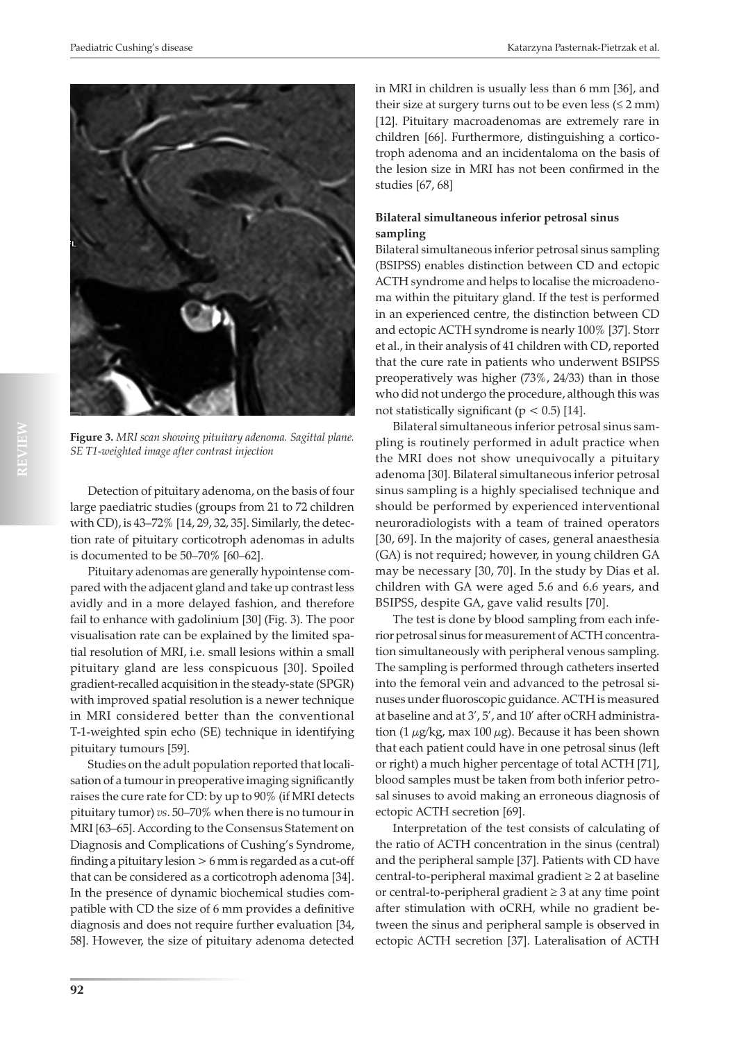

**Figure 3.** *MRI scan showing pituitary adenoma. Sagittal plane. SE T1-weighted image after contrast injection*

Detection of pituitary adenoma, on the basis of four large paediatric studies (groups from 21 to 72 children with CD), is 43–72% [14, 29, 32, 35]. Similarly, the detection rate of pituitary corticotroph adenomas in adults is documented to be 50–70% [60–62].

Pituitary adenomas are generally hypointense compared with the adjacent gland and take up contrast less avidly and in a more delayed fashion, and therefore fail to enhance with gadolinium [30] (Fig. 3). The poor visualisation rate can be explained by the limited spatial resolution of MRI, i.e. small lesions within a small pituitary gland are less conspicuous [30]. Spoiled gradient-recalled acquisition in the steady-state (SPGR) with improved spatial resolution is a newer technique in MRI considered better than the conventional T-1-weighted spin echo (SE) technique in identifying pituitary tumours [59].

Studies on the adult population reported that localisation of a tumour in preoperative imaging significantly raises the cure rate for CD: by up to 90% (if MRI detects pituitary tumor) *vs*. 50–70% when there is no tumour in MRI [63–65]. According to the Consensus Statement on Diagnosis and Complications of Cushing's Syndrome, finding a pituitary lesion > 6 mm is regarded as a cut-off that can be considered as a corticotroph adenoma [34]. In the presence of dynamic biochemical studies compatible with CD the size of 6 mm provides a definitive diagnosis and does not require further evaluation [34, 58]. However, the size of pituitary adenoma detected

in MRI in children is usually less than 6 mm [36], and their size at surgery turns out to be even less  $(\leq 2$  mm) [12]. Pituitary macroadenomas are extremely rare in children [66]. Furthermore, distinguishing a corticotroph adenoma and an incidentaloma on the basis of the lesion size in MRI has not been confirmed in the studies [67, 68]

## **Bilateral simultaneous inferior petrosal sinus sampling**

Bilateral simultaneous inferior petrosal sinus sampling (BSIPSS) enables distinction between CD and ectopic ACTH syndrome and helps to localise the microadenoma within the pituitary gland. If the test is performed in an experienced centre, the distinction between CD and ectopic ACTH syndrome is nearly 100% [37]. Storr et al., in their analysis of 41 children with CD, reported that the cure rate in patients who underwent BSIPSS preoperatively was higher (73%, 24/33) than in those who did not undergo the procedure, although this was not statistically significant ( $p < 0.5$ ) [14].

Bilateral simultaneous inferior petrosal sinus sampling is routinely performed in adult practice when the MRI does not show unequivocally a pituitary adenoma [30]. Bilateral simultaneous inferior petrosal sinus sampling is a highly specialised technique and should be performed by experienced interventional neuroradiologists with a team of trained operators [30, 69]. In the majority of cases, general anaesthesia (GA) is not required; however, in young children GA may be necessary [30, 70]. In the study by Dias et al. children with GA were aged 5.6 and 6.6 years, and BSIPSS, despite GA, gave valid results [70].

The test is done by blood sampling from each inferior petrosal sinus for measurement of ACTH concentration simultaneously with peripheral venous sampling. The sampling is performed through catheters inserted into the femoral vein and advanced to the petrosal sinuses under fluoroscopic guidance. ACTH is measured at baseline and at 3', 5', and 10' after oCRH administration (1  $\mu$ g/kg, max 100  $\mu$ g). Because it has been shown that each patient could have in one petrosal sinus (left or right) a much higher percentage of total ACTH [71], blood samples must be taken from both inferior petrosal sinuses to avoid making an erroneous diagnosis of ectopic ACTH secretion [69].

Interpretation of the test consists of calculating of the ratio of ACTH concentration in the sinus (central) and the peripheral sample [37]. Patients with CD have central-to-peripheral maximal gradient  $\geq 2$  at baseline or central-to-peripheral gradient ≥ 3 at any time point after stimulation with oCRH, while no gradient between the sinus and peripheral sample is observed in ectopic ACTH secretion [37]. Lateralisation of ACTH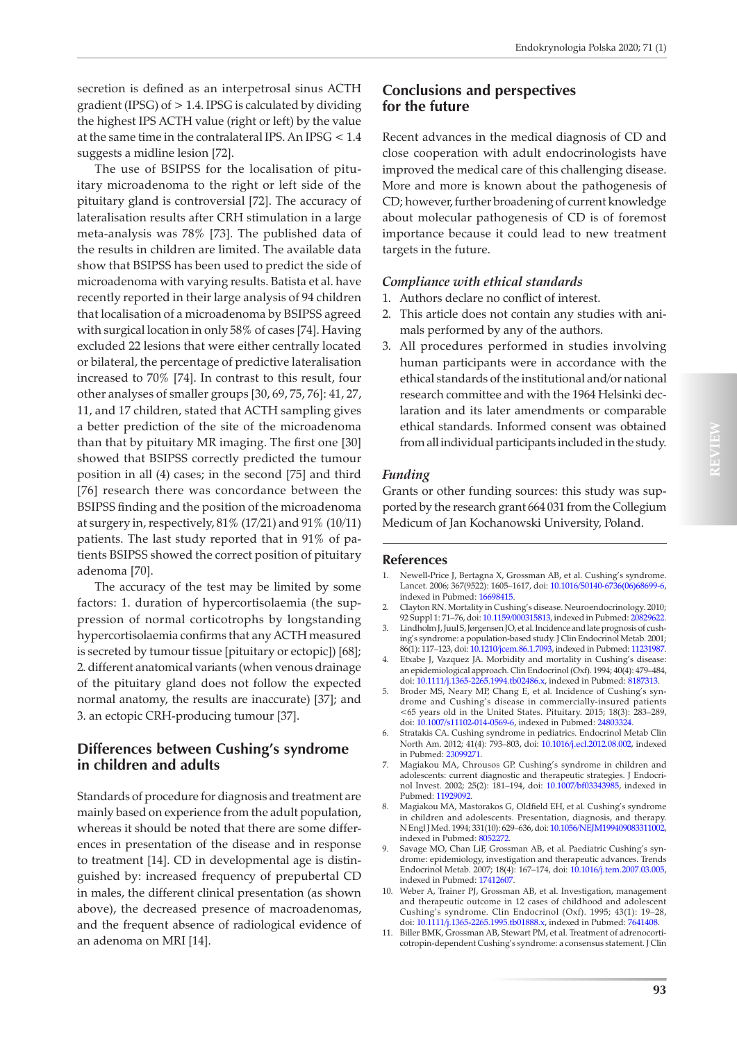secretion is defined as an interpetrosal sinus ACTH gradient (IPSG) of > 1.4. IPSG is calculated by dividing the highest IPS ACTH value (right or left) by the value at the same time in the contralateral IPS. An IPSG < 1.4 suggests a midline lesion [72].

The use of BSIPSS for the localisation of pituitary microadenoma to the right or left side of the pituitary gland is controversial [72]. The accuracy of lateralisation results after CRH stimulation in a large meta-analysis was 78% [73]. The published data of the results in children are limited. The available data show that BSIPSS has been used to predict the side of microadenoma with varying results. Batista et al. have recently reported in their large analysis of 94 children that localisation of a microadenoma by BSIPSS agreed with surgical location in only 58% of cases [74]. Having excluded 22 lesions that were either centrally located or bilateral, the percentage of predictive lateralisation increased to 70% [74]. In contrast to this result, four other analyses of smaller groups [30, 69, 75, 76]: 41, 27, 11, and 17 children, stated that ACTH sampling gives a better prediction of the site of the microadenoma than that by pituitary MR imaging. The first one [30] showed that BSIPSS correctly predicted the tumour position in all (4) cases; in the second [75] and third [76] research there was concordance between the BSIPSS finding and the position of the microadenoma at surgery in, respectively, 81% (17/21) and 91% (10/11) patients. The last study reported that in 91% of patients BSIPSS showed the correct position of pituitary adenoma [70].

The accuracy of the test may be limited by some factors: 1. duration of hypercortisolaemia (the suppression of normal corticotrophs by longstanding hypercortisolaemia confirms that any ACTH measured is secreted by tumour tissue [pituitary or ectopic]) [68]; 2. different anatomical variants (when venous drainage of the pituitary gland does not follow the expected normal anatomy, the results are inaccurate) [37]; and 3. an ectopic CRH-producing tumour [37].

## **Differences between Cushing's syndrome in children and adults**

Standards of procedure for diagnosis and treatment are mainly based on experience from the adult population, whereas it should be noted that there are some differences in presentation of the disease and in response to treatment [14]. CD in developmental age is distinguished by: increased frequency of prepubertal CD in males, the different clinical presentation (as shown above), the decreased presence of macroadenomas, and the frequent absence of radiological evidence of an adenoma on MRI [14].

## **Conclusions and perspectives for the future**

Recent advances in the medical diagnosis of CD and close cooperation with adult endocrinologists have improved the medical care of this challenging disease. More and more is known about the pathogenesis of CD; however, further broadening of current knowledge about molecular pathogenesis of CD is of foremost importance because it could lead to new treatment targets in the future.

#### *Compliance with ethical standards*

- 1. Authors declare no conflict of interest.
- 2. This article does not contain any studies with animals performed by any of the authors.
- 3. All procedures performed in studies involving human participants were in accordance with the ethical standards of the institutional and/or national research committee and with the 1964 Helsinki declaration and its later amendments or comparable ethical standards. Informed consent was obtained from all individual participants included in the study.

#### *Funding*

Grants or other funding sources: this study was supported by the research grant 664 031 from the Collegium Medicum of Jan Kochanowski University, Poland.

#### **References**

- 1. Newell-Price J, Bertagna X, Grossman AB, et al. Cushing's syndrome. Lancet. 2006; 367(9522): 1605–1617, doi: [10.1016/S0140-6736\(06\)68699-6,](http://dx.doi.org/10.1016/S0140-6736(06)68699-6) indexed in Pubmed: [16698415.](https://www.ncbi.nlm.nih.gov/pubmed/16698415)
- 2. Clayton RN. Mortality in Cushing's disease. Neuroendocrinology. 2010; 92 Suppl 1: 71–76, doi: [10.1159/000315813,](http://dx.doi.org/10.1159/000315813) indexed in Pubmed: [20829622.](https://www.ncbi.nlm.nih.gov/pubmed/20829622)
- Lindholm J, Juul S, Jørgensen JO, et al. Incidence and late prognosis of cushing's syndrome: a population-based study. J Clin Endocrinol Metab. 2001; 86(1): 117–123, doi: [10.1210/jcem.86.1.7093,](http://dx.doi.org/10.1210/jcem.86.1.7093) indexed in Pubmed: [11231987.](https://www.ncbi.nlm.nih.gov/pubmed/11231987)
- 4. Etxabe J, Vazquez JA. Morbidity and mortality in Cushing's disease: an epidemiological approach. Clin Endocrinol (Oxf). 1994; 40(4): 479–484, doi: [10.1111/j.1365-2265.1994.tb02486.x](http://dx.doi.org/10.1111/j.1365-2265.1994.tb02486.x), indexed in Pubmed: [8187313.](https://www.ncbi.nlm.nih.gov/pubmed/8187313)
- 5. Broder MS, Neary MP, Chang E, et al. Incidence of Cushing's syndrome and Cushing's disease in commercially-insured patients <65 years old in the United States. Pituitary. 2015; 18(3): 283–289, doi: [10.1007/s11102-014-0569-6,](http://dx.doi.org/10.1007/s11102-014-0569-6) indexed in Pubmed: [24803324](https://www.ncbi.nlm.nih.gov/pubmed/24803324).
- 6. Stratakis CA. Cushing syndrome in pediatrics. Endocrinol Metab Clin North Am. 2012; 41(4): 793–803, doi: [10.1016/j.ecl.2012.08.002](http://dx.doi.org/10.1016/j.ecl.2012.08.002), indexed in Pubmed: [23099271](https://www.ncbi.nlm.nih.gov/pubmed/23099271).
- 7. Magiakou MA, Chrousos GP. Cushing's syndrome in children and adolescents: current diagnostic and therapeutic strategies. J Endocrinol Invest. 2002; 25(2): 181–194, doi: [10.1007/bf03343985](http://dx.doi.org/10.1007/bf03343985), indexed in Pubmed: [11929092](https://www.ncbi.nlm.nih.gov/pubmed/11929092).
- 8. Magiakou MA, Mastorakos G, Oldfield EH, et al. Cushing's syndrome in children and adolescents. Presentation, diagnosis, and therapy. N Engl J Med. 1994; 331(10): 629–636, doi: [10.1056/NEJM199409083311002,](http://dx.doi.org/10.1056/NEJM199409083311002) indexed in Pubmed: [8052272](https://www.ncbi.nlm.nih.gov/pubmed/8052272).
- 9. Savage MO, Chan LiF, Grossman AB, et al. Paediatric Cushing's syndrome: epidemiology, investigation and therapeutic advances. Trends Endocrinol Metab. 2007; 18(4): 167–174, doi: [10.1016/j.tem.2007.03.005,](http://dx.doi.org/10.1016/j.tem.2007.03.005) indexed in Pubmed: [17412607.](https://www.ncbi.nlm.nih.gov/pubmed/17412607)
- 10. Weber A, Trainer PJ, Grossman AB, et al. Investigation, management and therapeutic outcome in 12 cases of childhood and adolescent Cushing's syndrome. Clin Endocrinol (Oxf). 1995; 43(1): 19–28, doi: [10.1111/j.1365-2265.1995.tb01888.x](http://dx.doi.org/10.1111/j.1365-2265.1995.tb01888.x), indexed in Pubmed: [7641408.](https://www.ncbi.nlm.nih.gov/pubmed/7641408)
- 11. Biller BMK, Grossman AB, Stewart PM, et al. Treatment of adrenocorticotropin-dependent Cushing's syndrome: a consensus statement. J Clin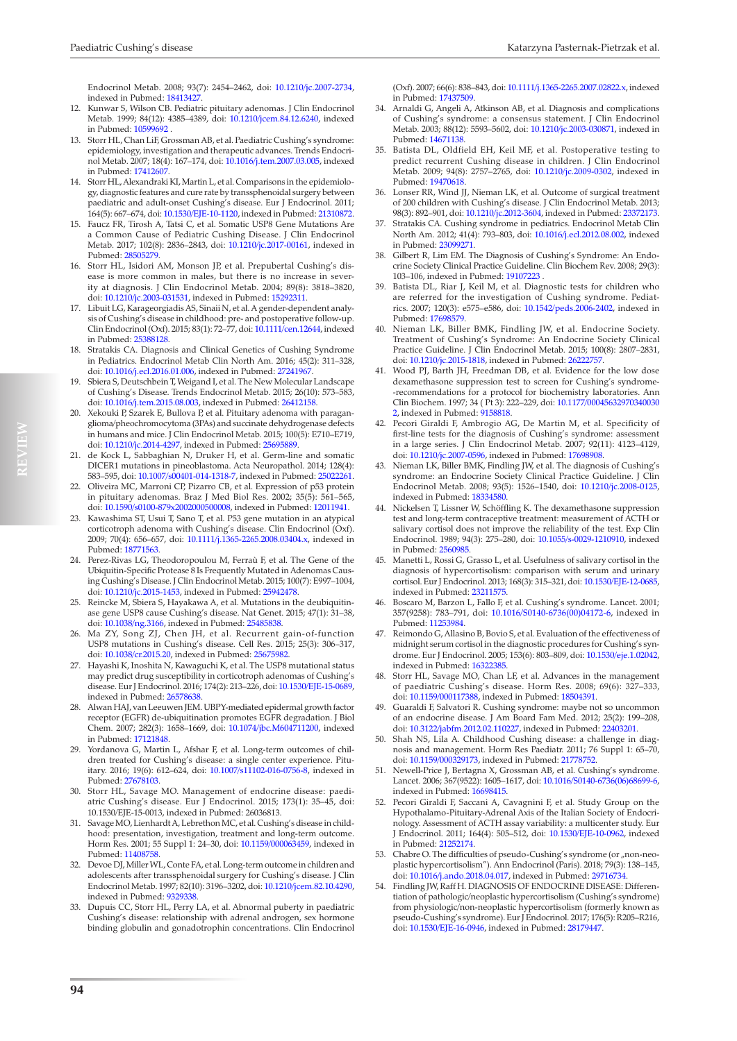Endocrinol Metab. 2008; 93(7): 2454–2462, doi: [10.1210/jc.2007-2734,](http://dx.doi.org/10.1210/jc.2007-2734) indexed in Pubmed: [18413427](https://www.ncbi.nlm.nih.gov/pubmed/18413427).

- 12. Kunwar S, Wilson CB. Pediatric pituitary adenomas. J Clin Endocrinol Metab. 1999; 84(12): 4385–4389, doi: [10.1210/jcem.84.12.6240](http://dx.doi.org/10.1210/jcem.84.12.6240), indexed in Pubmed: [10599692 .](https://www.ncbi.nlm.nih.gov/pubmed/10599692)
- 13. Storr HL, Chan LiF, Grossman AB, et al. Paediatric Cushing's syndrome: epidemiology, investigation and therapeutic advances. Trends Endocrinol Metab. 2007; 18(4): 167–174, doi: [10.1016/j.tem.2007.03.005](http://dx.doi.org/10.1016/j.tem.2007.03.005), indexed in Pubmed: [17412607.](https://www.ncbi.nlm.nih.gov/pubmed/17412607)
- 14. Storr HL, Alexandraki KI, Martin L, et al. Comparisons in the epidemiology, diagnostic features and cure rate by transsphenoidal surgery between paediatric and adult-onset Cushing's disease. Eur J Endocrinol. 2011; 164(5): 667–674, doi: [10.1530/EJE-10-1120](http://dx.doi.org/10.1530/EJE-10-1120), indexed in Pubmed: [21310872.](https://www.ncbi.nlm.nih.gov/pubmed/21310872)
- 15. Faucz FR, Tirosh A, Tatsi C, et al. Somatic USP8 Gene Mutations Are a Common Cause of Pediatric Cushing Disease. J Clin Endocrinol Metab. 2017; 102(8): 2836–2843, doi: [10.1210/jc.2017-00161,](http://dx.doi.org/10.1210/jc.2017-00161) indexed in Pubmed: 2850527
- 16. Storr HL, Isidori AM, Monson JP, et al. Prepubertal Cushing's disease is more common in males, but there is no increase in severity at diagnosis. J Clin Endocrinol Metab. 2004; 89(8): 3818–3820, doi: [10.1210/jc.2003-031531](http://dx.doi.org/10.1210/jc.2003-031531), indexed in Pubmed: [15292311.](https://www.ncbi.nlm.nih.gov/pubmed/15292311)
- 17. Libuit LG, Karageorgiadis AS, Sinaii N, et al. A gender-dependent analysis of Cushing's disease in childhood: pre- and postoperative follow-up. Clin Endocrinol (Oxf). 2015; 83(1): 72–77, doi: [10.1111/cen.12644,](http://dx.doi.org/10.1111/cen.12644) indexed in Pubmed: [25388128.](https://www.ncbi.nlm.nih.gov/pubmed/25388128)
- 18. Stratakis CA. Diagnosis and Clinical Genetics of Cushing Syndrome in Pediatrics. Endocrinol Metab Clin North Am. 2016; 45(2): 311–328, doi: [10.1016/j.ecl.2016.01.006,](http://dx.doi.org/10.1016/j.ecl.2016.01.006) indexed in Pubmed: [27241967.](https://www.ncbi.nlm.nih.gov/pubmed/27241967)
- Sbiera S, Deutschbein T, Weigand I, et al. The New Molecular Landscape of Cushing's Disease. Trends Endocrinol Metab. 2015; 26(10): 573–583, doi: [10.1016/j.tem.2015.08.003](http://dx.doi.org/10.1016/j.tem.2015.08.003), indexed in Pubmed: [26412158](https://www.ncbi.nlm.nih.gov/pubmed/26412158).
- 20. Xekouki P, Szarek E, Bullova P, et al. Pituitary adenoma with paraganglioma/pheochromocytoma (3PAs) and succinate dehydrogenase defects in humans and mice. J Clin Endocrinol Metab. 2015; 100(5): E710–E719, doi: [10.1210/jc.2014-4297](http://dx.doi.org/10.1210/jc.2014-4297), indexed in Pubmed: [25695889](https://www.ncbi.nlm.nih.gov/pubmed/25695889).
- 21. de Kock L, Sabbaghian N, Druker H, et al. Germ-line and somatic DICER1 mutations in pineoblastoma. Acta Neuropathol. 2014; 128(4): 583–595, doi: [10.1007/s00401-014-1318-7](http://dx.doi.org/10.1007/s00401-014-1318-7), indexed in Pubmed: [25022261.](https://www.ncbi.nlm.nih.gov/pubmed/25022261)
- 22. Oliveira MC, Marroni CP, Pizarro CB, et al. Expression of p53 protein in pituitary adenomas. Braz J Med Biol Res. 2002; 35(5): 561–565, doi: [10.1590/s0100-879x2002000500008](http://dx.doi.org/10.1590/s0100-879x2002000500008), indexed in Pubmed: [12011941.](https://www.ncbi.nlm.nih.gov/pubmed/12011941)
- 23. Kawashima ST, Usui T, Sano T, et al. P53 gene mutation in an atypical corticotroph adenoma with Cushing's disease. Clin Endocrinol (Oxf). 2009; 70(4): 656–657, doi: [10.1111/j.1365-2265.2008.03404.x,](http://dx.doi.org/10.1111/j.1365-2265.2008.03404.x) indexed in Pubmed: [18771563.](https://www.ncbi.nlm.nih.gov/pubmed/18771563)
- 24. Perez-Rivas LG, Theodoropoulou M, Ferraù F, et al. The Gene of the Ubiquitin-Specific Protease 8 Is Frequently Mutated in Adenomas Causing Cushing's Disease. J Clin Endocrinol Metab. 2015; 100(7): E997–1004, doi: [10.1210/jc.2015-1453](http://dx.doi.org/10.1210/jc.2015-1453), indexed in Pubmed: [25942478](https://www.ncbi.nlm.nih.gov/pubmed/25942478).
- 25. Reincke M, Sbiera S, Hayakawa A, et al. Mutations in the deubiquitinase gene USP8 cause Cushing's disease. Nat Genet. 2015; 47(1): 31–38, doi: [10.1038/ng.3166](http://dx.doi.org/10.1038/ng.3166), indexed in Pubmed: [25485838](https://www.ncbi.nlm.nih.gov/pubmed/25485838).
- 26. Ma ZY, Song ZJ, Chen JH, et al. Recurrent gain-of-function USP8 mutations in Cushing's disease. Cell Res. 2015; 25(3): 306–317, doi: [10.1038/cr.2015.20,](http://dx.doi.org/10.1038/cr.2015.20) indexed in Pubmed: [25675982.](https://www.ncbi.nlm.nih.gov/pubmed/25675982)
- 27. Hayashi K, Inoshita N, Kawaguchi K, et al. The USP8 mutational status may predict drug susceptibility in corticotroph adenomas of Cushing's disease. Eur J Endocrinol. 2016; 174(2): 213–226, doi: [10.1530/EJE-15-0689,](http://dx.doi.org/10.1530/EJE-15-0689) indexed in Pubmed: [26578638](https://www.ncbi.nlm.nih.gov/pubmed/26578638).
- 28. Alwan HAJ, van Leeuwen JEM. UBPY-mediated epidermal growth factor receptor (EGFR) de-ubiquitination promotes EGFR degradation. J Biol Chem. 2007; 282(3): 1658–1669, doi: [10.1074/jbc.M604711200](http://dx.doi.org/10.1074/jbc.M604711200), indexed in Pubmed: [17121848.](https://www.ncbi.nlm.nih.gov/pubmed/17121848)
- 29. Yordanova G, Martin L, Afshar F, et al. Long-term outcomes of children treated for Cushing's disease: a single center experience. Pituitary. 2016; 19(6): 612–624, doi: [10.1007/s11102-016-0756-8,](http://dx.doi.org/10.1007/s11102-016-0756-8) indexed in Pubmed: [27678103.](https://www.ncbi.nlm.nih.gov/pubmed/27678103)
- 30. Storr HL, Savage MO. Management of endocrine disease: paediatric Cushing's disease. Eur J Endocrinol. 2015; 173(1): 35–45, doi: 10.1530/EJE-15-0013, indexed in Pubmed: 26036813.
- 31. Savage MO, Lienhardt A, Lebrethon MC, et al. Cushing's disease in childhood: presentation, investigation, treatment and long-term outcome. Horm Res. 2001; 55 Suppl 1: 24–30, doi: [10.1159/000063459,](http://dx.doi.org/10.1159/000063459) indexed in Pubmed: [11408758.](https://www.ncbi.nlm.nih.gov/pubmed/11408758)
- 32. Devoe DJ, Miller WL, Conte FA, et al. Long-term outcome in children and adolescents after transsphenoidal surgery for Cushing's disease. J Clin Endocrinol Metab. 1997; 82(10): 3196–3202, doi: [10.1210/jcem.82.10.4290,](http://dx.doi.org/10.1210/jcem.82.10.4290) indexed in Pubmed: [9329338.](https://www.ncbi.nlm.nih.gov/pubmed/9329338)
- 33. Dupuis CC, Storr HL, Perry LA, et al. Abnormal puberty in paediatric Cushing's disease: relationship with adrenal androgen, sex hormone binding globulin and gonadotrophin concentrations. Clin Endocrinol

(Oxf). 2007; 66(6): 838–843, doi: [10.1111/j.1365-2265.2007.02822.x,](http://dx.doi.org/10.1111/j.1365-2265.2007.02822.x) indexed in Pubmed: [17437509](https://www.ncbi.nlm.nih.gov/pubmed/17437509).

- 34. Arnaldi G, Angeli A, Atkinson AB, et al. Diagnosis and complications of Cushing's syndrome: a consensus statement. J Clin Endocrinol Metab. 2003; 88(12): 5593–5602, doi: [10.1210/jc.2003-030871,](http://dx.doi.org/10.1210/jc.2003-030871) indexed in Pubmed: [14671138.](https://www.ncbi.nlm.nih.gov/pubmed/14671138)
- 35. Batista DL, Oldfield EH, Keil MF, et al. Postoperative testing to predict recurrent Cushing disease in children. J Clin Endocrinol Metab. 2009; 94(8): 2757–2765, doi: [10.1210/jc.2009-0302](http://dx.doi.org/10.1210/jc.2009-0302), indexed in Pubmed: [19470618](https://www.ncbi.nlm.nih.gov/pubmed/19470618).
- Lonser RR, Wind JJ, Nieman LK, et al. Outcome of surgical treatment of 200 children with Cushing's disease. J Clin Endocrinol Metab. 2013; 98(3): 892–901, doi: [10.1210/jc.2012-3604](http://dx.doi.org/10.1210/jc.2012-3604), indexed in Pubmed: [23372173](https://www.ncbi.nlm.nih.gov/pubmed/23372173).
- Stratakis CA. Cushing syndrome in pediatrics. Endocrinol Metab Clin North Am. 2012; 41(4): 793–803, doi: [10.1016/j.ecl.2012.08.002](http://dx.doi.org/10.1016/j.ecl.2012.08.002), indexed in Pubmed: [23099271](https://www.ncbi.nlm.nih.gov/pubmed/23099271).
- Gilbert R, Lim EM. The Diagnosis of Cushing's Syndrome: An Endocrine Society Clinical Practice Guideline. Clin Biochem Rev. 2008; 29(3): 103–106, indexed in Pubmed: [19107223](https://www.ncbi.nlm.nih.gov/pubmed/19107223) .
- Batista DL, Riar J, Keil M, et al. Diagnostic tests for children who are referred for the investigation of Cushing syndrome. Pediatrics. 2007; 120(3): e575–e586, doi: [10.1542/peds.2006-2402](http://dx.doi.org/10.1542/peds.2006-2402), indexed in Pubmed: [17698579](https://www.ncbi.nlm.nih.gov/pubmed/17698579).
- Nieman LK, Biller BMK, Findling JW, et al. Endocrine Society. Treatment of Cushing's Syndrome: An Endocrine Society Clinical Practice Guideline. J Clin Endocrinol Metab. 2015; 100(8): 2807–2831, doi: [10.1210/jc.2015-1818,](http://dx.doi.org/10.1210/jc.2015-1818) indexed in Pubmed: 26222
- 41. Wood PJ, Barth JH, Freedman DB, et al. Evidence for the low dose dexamethasone suppression test to screen for Cushing's syndrome- -recommendations for a protocol for biochemistry laboratories. Ann Clin Biochem. 1997; 34 ( Pt 3): 222–229, doi: [10.1177/00045632970340030](http://dx.doi.org/10.1177/000456329703400302) [2,](http://dx.doi.org/10.1177/000456329703400302) indexed in Pubmed: [9158818](https://www.ncbi.nlm.nih.gov/pubmed/9158818).
- 42. Pecori Giraldi F, Ambrogio AG, De Martin M, et al. Specificity of first-line tests for the diagnosis of Cushing's syndrome: assessment in a large series. J Clin Endocrinol Metab. 2007; 92(11): 4123–4129, doi: [10.1210/jc.2007-0596,](http://dx.doi.org/10.1210/jc.2007-0596) indexed in Pubmed: [17698908.](https://www.ncbi.nlm.nih.gov/pubmed/17698908)
- 43. Nieman LK, Biller BMK, Findling JW, et al. The diagnosis of Cushing's syndrome: an Endocrine Society Clinical Practice Guideline. J Clin Endocrinol Metab. 2008; 93(5): 1526–1540, doi: [10.1210/jc.2008-0125](http://dx.doi.org/10.1210/jc.2008-0125), indexed in Pubmed: [18334580.](https://www.ncbi.nlm.nih.gov/pubmed/18334580)
- Nickelsen T, Lissner W, Schöffling K. The dexamethasone suppression test and long-term contraceptive treatment: measurement of ACTH or salivary cortisol does not improve the reliability of the test. Exp Clin Endocrinol. 1989; 94(3): 275–280, doi: [10.1055/s-0029-1210910](http://dx.doi.org/10.1055/s-0029-1210910), indexed in Pubmed: [2560985.](https://www.ncbi.nlm.nih.gov/pubmed/2560985)
- 45. Manetti L, Rossi G, Grasso L, et al. Usefulness of salivary cortisol in the diagnosis of hypercortisolism: comparison with serum and urinary cortisol. Eur J Endocrinol. 2013; 168(3): 315–321, doi: [10.1530/EJE-12-0685](http://dx.doi.org/10.1530/EJE-12-0685), indexed in Pubmed: 2321157!
- Boscaro M, Barzon L, Fallo F, et al. Cushing's syndrome. Lancet. 2001; 357(9258): 783–791, doi: [10.1016/S0140-6736\(00\)04172-6,](http://dx.doi.org/10.1016/S0140-6736(00)04172-6) indexed in Pubmed: [11253984.](https://www.ncbi.nlm.nih.gov/pubmed/11253984)
- Reimondo G, Allasino B, Bovio S, et al. Evaluation of the effectiveness of midnight serum cortisol in the diagnostic procedures for Cushing's syndrome. Eur J Endocrinol. 2005; 153(6): 803–809, doi: [10.1530/eje.1.02042](http://dx.doi.org/10.1530/eje.1.02042), indexed in Pubmed: 1632238.
- 48. Storr HL, Savage MO, Chan LF, et al. Advances in the management of paediatric Cushing's disease. Horm Res. 2008; 69(6): 327–333, doi: [10.1159/000117388](http://dx.doi.org/10.1159/000117388), indexed in Pubmed: [18504391](https://www.ncbi.nlm.nih.gov/pubmed/18504391).
- Guaraldi F, Salvatori R. Cushing syndrome: maybe not so uncommon of an endocrine disease. J Am Board Fam Med. 2012; 25(2): 199–208, doi: [10.3122/jabfm.2012.02.110227](http://dx.doi.org/10.3122/jabfm.2012.02.110227), indexed in Pubmed: [22403201](https://www.ncbi.nlm.nih.gov/pubmed/22403201).
- 50. Shah NS, Lila A. Childhood Cushing disease: a challenge in diagnosis and management. Horm Res Paediatr. 2011; 76 Suppl 1: 65–70, doi: [10.1159/000329173](http://dx.doi.org/10.1159/000329173), indexed in Pubmed: 2177875
- 51. Newell-Price J, Bertagna X, Grossman AB, et al. Cushing's syndrome. Lancet. 2006; 367(9522): 1605–1617, doi: [10.1016/S0140-6736\(06\)68699-6](http://dx.doi.org/10.1016/S0140-6736(06)68699-6), indexed in Pubmed: [16698415.](https://www.ncbi.nlm.nih.gov/pubmed/16698415)
- 52. Pecori Giraldi F, Saccani A, Cavagnini F, et al. Study Group on the Hypothalamo-Pituitary-Adrenal Axis of the Italian Society of Endocrinology. Assessment of ACTH assay variability: a multicenter study. Eur J Endocrinol. 2011; 164(4): 505–512, doi: [10.1530/EJE-10-0962](http://dx.doi.org/10.1530/EJE-10-0962), indexed in Pubmed: [21252174](https://www.ncbi.nlm.nih.gov/pubmed/21252174).
- 53. Chabre O. The difficulties of pseudo-Cushing's syndrome (or "non-neoplastic hypercortisolism"). Ann Endocrinol (Paris). 2018; 79(3): 138–145, doi: [10.1016/j.ando.2018.04.017,](http://dx.doi.org/10.1016/j.ando.2018.04.017) indexed in Pubmed: [29716734.](https://www.ncbi.nlm.nih.gov/pubmed/29716734)
- 54. Findling JW, Raff H. DIAGNOSIS OF ENDOCRINE DISEASE: Differentiation of pathologic/neoplastic hypercortisolism (Cushing's syndrome) from physiologic/non-neoplastic hypercortisolism (formerly known as pseudo-Cushing's syndrome). Eur J Endocrinol. 2017; 176(5): R205–R216, doi: [10.1530/EJE-16-0946](http://dx.doi.org/10.1530/EJE-16-0946), indexed in Pubmed: [28179447](https://www.ncbi.nlm.nih.gov/pubmed/28179447).